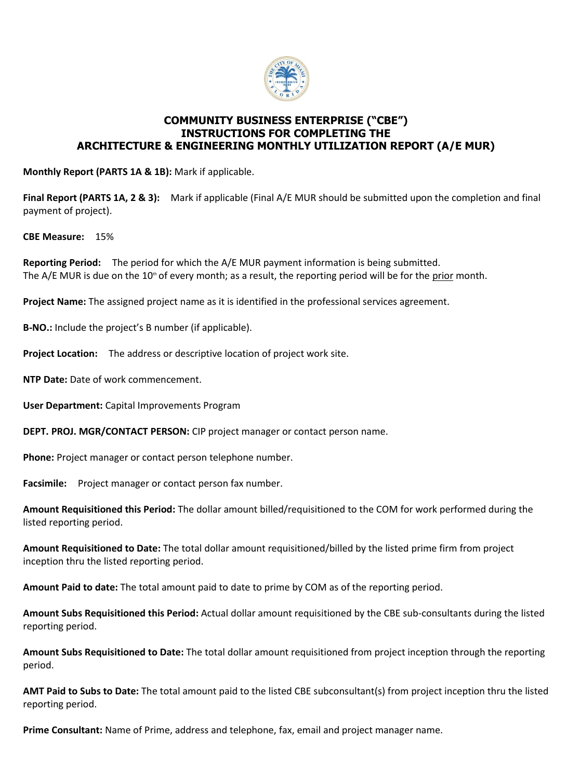

## **COMMUNITY BUSINESS ENTERPRISE ("CBE") INSTRUCTIONS FOR COMPLETING THE ARCHITECTURE & ENGINEERING MONTHLY UTILIZATION REPORT (A/E MUR)**

**Monthly Report (PARTS 1A & 1B):** Mark if applicable.

**Final Report (PARTS 1A, 2 & 3):** Mark if applicable (Final A/E MUR should be submitted upon the completion and final payment of project).

**CBE Measure:** 15%

**Reporting Period:** The period for which the A/E MUR payment information is being submitted. The  $A/E$  MUR is due on the  $10<sup>th</sup>$  of every month; as a result, the reporting period will be for the prior month.

**Project Name:** The assigned project name as it is identified in the professional services agreement.

**B-NO.:** Include the project's B number (if applicable).

**Project Location:** The address or descriptive location of project work site.

**NTP Date:** Date of work commencement.

**User Department:** Capital Improvements Program

**DEPT. PROJ. MGR/CONTACT PERSON:** CIP project manager or contact person name.

**Phone:** Project manager or contact person telephone number.

**Facsimile:** Project manager or contact person fax number.

**Amount Requisitioned this Period:** The dollar amount billed/requisitioned to the COM for work performed during the listed reporting period.

**Amount Requisitioned to Date:** The total dollar amount requisitioned/billed by the listed prime firm from project inception thru the listed reporting period.

**Amount Paid to date:** The total amount paid to date to prime by COM as of the reporting period.

**Amount Subs Requisitioned this Period:** Actual dollar amount requisitioned by the CBE sub-consultants during the listed reporting period.

**Amount Subs Requisitioned to Date:** The total dollar amount requisitioned from project inception through the reporting period.

**AMT Paid to Subs to Date:** The total amount paid to the listed CBE subconsultant(s) from project inception thru the listed reporting period.

**Prime Consultant:** Name of Prime, address and telephone, fax, email and project manager name.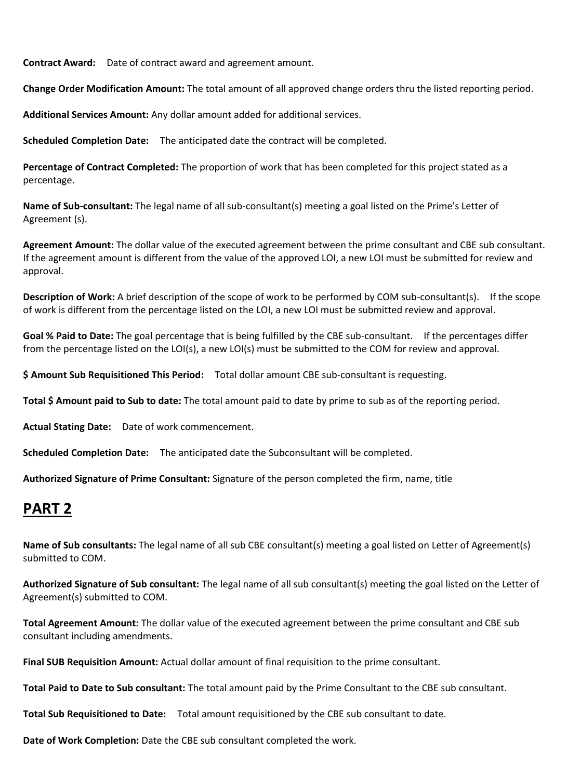**Contract Award:** Date of contract award and agreement amount.

**Change Order Modification Amount:** The total amount of all approved change orders thru the listed reporting period.

**Additional Services Amount:** Any dollar amount added for additional services.

**Scheduled Completion Date:** The anticipated date the contract will be completed.

**Percentage of Contract Completed:** The proportion of work that has been completed for this project stated as a percentage.

**Name of Sub-consultant:** The legal name of all sub-consultant(s) meeting a goal listed on the Prime's Letter of Agreement (s).

**Agreement Amount:** The dollar value of the executed agreement between the prime consultant and CBE sub consultant. If the agreement amount is different from the value of the approved LOI, a new LOI must be submitted for review and approval.

**Description of Work:** A brief description of the scope of work to be performed by COM sub-consultant(s). If the scope of work is different from the percentage listed on the LOI, a new LOI must be submitted review and approval.

**Goal % Paid to Date:** The goal percentage that is being fulfilled by the CBE sub-consultant. If the percentages differ from the percentage listed on the LOI(s), a new LOI(s) must be submitted to the COM for review and approval.

**\$ Amount Sub Requisitioned This Period:** Total dollar amount CBE sub-consultant is requesting.

**Total \$ Amount paid to Sub to date:** The total amount paid to date by prime to sub as of the reporting period.

**Actual Stating Date:** Date of work commencement.

**Scheduled Completion Date:** The anticipated date the Subconsultant will be completed.

**Authorized Signature of Prime Consultant:** Signature of the person completed the firm, name, title

## **PART 2**

**Name of Sub consultants:** The legal name of all sub CBE consultant(s) meeting a goal listed on Letter of Agreement(s) submitted to COM.

**Authorized Signature of Sub consultant:** The legal name of all sub consultant(s) meeting the goal listed on the Letter of Agreement(s) submitted to COM.

**Total Agreement Amount:** The dollar value of the executed agreement between the prime consultant and CBE sub consultant including amendments.

**Final SUB Requisition Amount:** Actual dollar amount of final requisition to the prime consultant.

**Total Paid to Date to Sub consultant:** The total amount paid by the Prime Consultant to the CBE sub consultant.

**Total Sub Requisitioned to Date:** Total amount requisitioned by the CBE sub consultant to date.

**Date of Work Completion:** Date the CBE sub consultant completed the work.